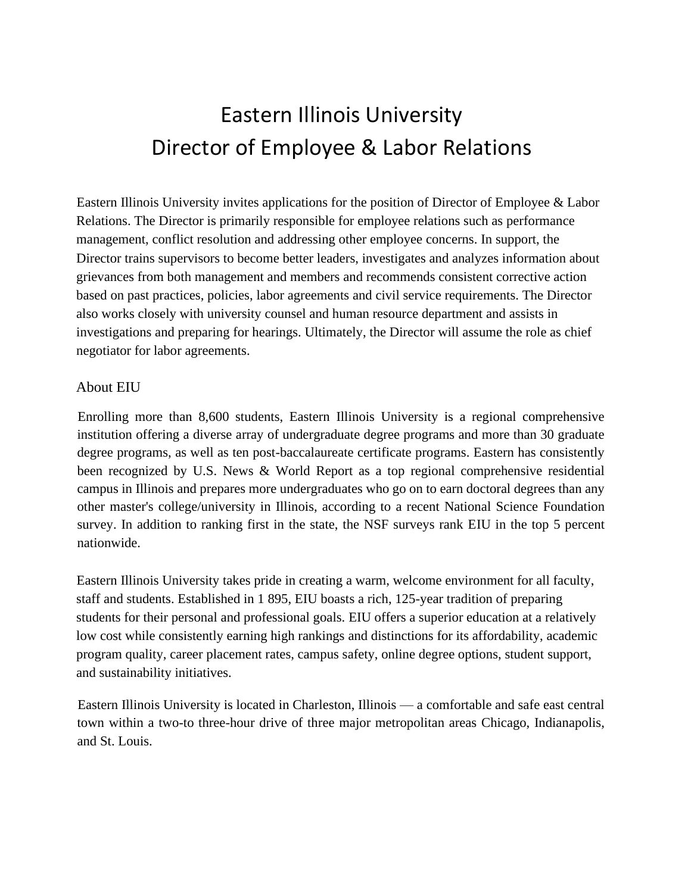## Eastern Illinois University Director of Employee & Labor Relations

Eastern Illinois University invites applications for the position of Director of Employee & Labor Relations. The Director is primarily responsible for employee relations such as performance management, conflict resolution and addressing other employee concerns. In support, the Director trains supervisors to become better leaders, investigates and analyzes information about grievances from both management and members and recommends consistent corrective action based on past practices, policies, labor agreements and civil service requirements. The Director also works closely with university counsel and human resource department and assists in investigations and preparing for hearings. Ultimately, the Director will assume the role as chief negotiator for labor agreements.

## About EIU

Enrolling more than 8,600 students, Eastern Illinois University is a regional comprehensive institution offering a diverse array of undergraduate degree programs and more than 30 graduate degree programs, as well as ten post-baccalaureate certificate programs. Eastern has consistently been recognized by U.S. News & World Report as a top regional comprehensive residential campus in Illinois and prepares more undergraduates who go on to earn doctoral degrees than any other master's college/university in Illinois, according to a recent National Science Foundation survey. In addition to ranking first in the state, the NSF surveys rank EIU in the top 5 percent nationwide.

Eastern Illinois University takes pride in creating a warm, welcome environment for all faculty, staff and students. Established in 1 895, EIU boasts a rich, 125-year tradition of preparing students for their personal and professional goals. EIU offers a superior education at a relatively low cost while consistently earning high rankings and distinctions for its affordability, academic program quality, career placement rates, campus safety, online degree options, student support, and sustainability initiatives.

Eastern Illinois University is located in Charleston, Illinois — a comfortable and safe east central town within a two-to three-hour drive of three major metropolitan areas Chicago, Indianapolis, and St. Louis.